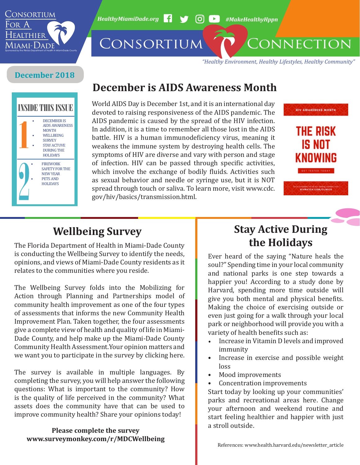

*HealthyMiamiDade.org* <sup>1</sup> → 60 → #MakeHealthyHppn

CONSORTIUM CONNECTION

*"Healthy Environment, Healthy Lifestyles, Healthy Community"*

### **December 2018**



# **December is AIDS Awareness Month**

World AIDS Day is December 1st, and it is an international day devoted to raising responsiveness of the AIDS pandemic. The AIDS pandemic is caused by the spread of the HIV infection. In addition, it is a time to remember all those lost in the AIDS battle. HIV is a human immunodeficiency virus, meaning it weakens the immune system by destroying health cells. The symptoms of HIV are diverse and vary with person and stage of infection. HIV can be passed through specific activities, which involve the exchange of bodily fluids. Activities such as sexual behavior and needle or syringe use, but it is NOT spread through touch or saliva. To learn more, visit [www.cdc.](http://www.cdc.gov/hiv/basics/transmission.html) [gov/hiv/basics/transmission.html.](http://www.cdc.gov/hiv/basics/transmission.html)



# **Wellbeing Survey**

The Florida Department of Health in Miami-Dade County is conducting the Wellbeing Survey to identify the needs, opinions, and views of Miami-Dade County residents as it relates to the communities where you reside.

The Wellbeing Survey folds into the Mobilizing for Action through Planning and Partnerships model of community health improvement as one of the four types of assessments that informs the new Community Health Improvement Plan. Taken together, the four assessments give a complete view of health and quality of life in Miami-Dade County, and help make up the Miami-Dade County Community Health Assessment.Your opinion matters and we want you to participate in the survey by [clicking here.](https://www.surveymonkey.com/r/mdcwellbeing)

The survey is available in multiple languages. By completing the survey, you will help answer the following questions: What is important to the community? How is the quality of life perceived in the community? What assets does the community have that can be used to improve community health? Share your opinions today!

#### **Please complete the survey [www.surveymonkey.com/r/MDCWellbeing](http://www.surveymonkey.com/r/MDCWellbeing)**

## **Stay Active During the Holidays**

Ever heard of the saying "Nature heals the soul?" Spending time in your local community and national parks is one step towards a happier you! According to a study done by Harvard, spending more time outside will give you both mental and physical benefits. Making the choice of exercising outside or even just going for a walk through your local park or neighborhood will provide you with a variety of health benefits such as:

- Increase in Vitamin D levels and improved immunity
- Increase in exercise and possible weight loss
- Mood improvements
- Concentration improvements

Start today by looking up your communities' parks and recreational areas here. Change your afternoon and weekend routine and start feeling healthier and happier with just a stroll outside.